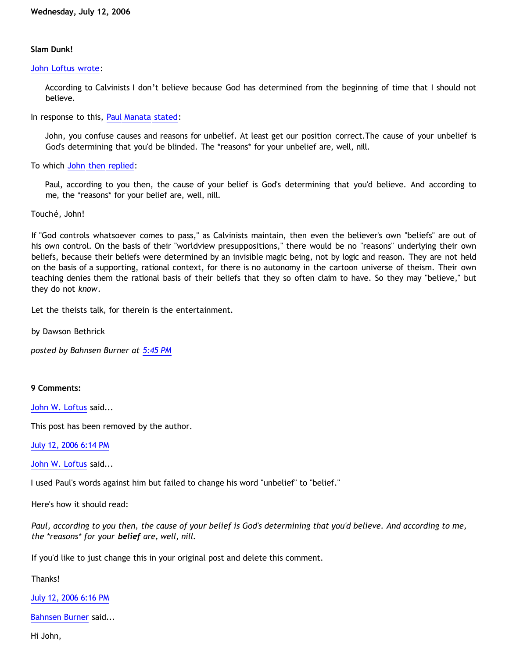## **Slam Dunk!**

## [John Loftus wrote](http://debunkingchristianity.blogspot.com/2006/07/why-i-dont-believe-bible-is-gods-word_12.html):

According to Calvinists I don't believe because God has determined from the beginning of time that I should not believe.

In response to this, [Paul Manata stated:](http://debunkingchristianity.blogspot.com/)

John, you confuse causes and reasons for unbelief. At least get our position correct.The cause of your unbelief is God's determining that you'd be blinded. The \*reasons\* for your unbelief are, well, nill.

To which [John then replied:](http://debunkingchristianity.blogspot.com/)

Paul, according to you then, the cause of your belief is God's determining that you'd believe. And according to me, the \*reasons\* for your belief are, well, nill.

Touché, John!

If "God controls whatsoever comes to pass," as Calvinists maintain, then even the believer's own "beliefs" are out of his own control. On the basis of their "worldview presuppositions," there would be no "reasons" underlying their own beliefs, because their beliefs were determined by an invisible magic being, not by logic and reason. They are not held on the basis of a supporting, rational context, for there is no autonomy in the cartoon universe of theism. Their own teaching denies them the rational basis of their beliefs that they so often claim to have. So they may "believe," but they do not *know*.

Let the theists talk, for therein is the entertainment.

by Dawson Bethrick

*posted by Bahnsen Burner at [5:45 PM](http://bahnsenburner.blogspot.com/2006/07/slam-dunk.html)*

**9 Comments:**

[John W. Loftus](http://www.blogger.com/profile/11138734) said...

This post has been removed by the author.

[July 12, 2006 6:14 PM](http://bahnsenburner.blogspot.com/2006/07/115275325250752292)

[John W. Loftus](http://www.blogger.com/profile/11138734) said...

I used Paul's words against him but failed to change his word "unbelief" to "belief."

Here's how it should read:

*Paul, according to you then, the cause of your belief is God's determining that you'd believe. And according to me, the \*reasons\* for your belief are, well, nill.*

If you'd like to just change this in your original post and delete this comment.

Thanks!

[July 12, 2006 6:16 PM](http://bahnsenburner.blogspot.com/2006/07/115275340894291306)

[Bahnsen Burner](http://www.blogger.com/profile/7766918) said...

Hi John,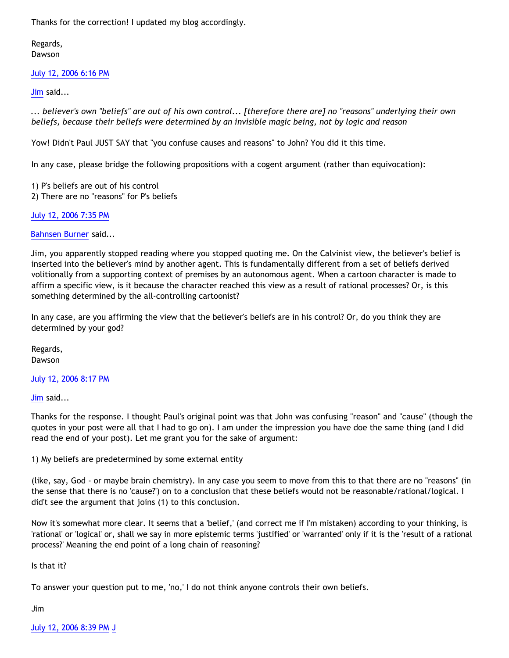Thanks for the correction! I updated my blog accordingly.

Regards, Dawson

## [July 12, 2006 6:16 PM](http://bahnsenburner.blogspot.com/2006/07/115275341966433682)

[Jim](http://www.blogger.com/profile/14519336) said...

*... believer's own "beliefs" are out of his own control... [therefore there are] no "reasons" underlying their own beliefs, because their beliefs were determined by an invisible magic being, not by logic and reason*

Yow! Didn't Paul JUST SAY that "you confuse causes and reasons" to John? You did it this time.

In any case, please bridge the following propositions with a cogent argument (rather than equivocation):

1) P's beliefs are out of his control 2) There are no "reasons" for P's beliefs

[July 12, 2006 7:35 PM](http://bahnsenburner.blogspot.com/2006/07/115275811605555239)

[Bahnsen Burner](http://www.blogger.com/profile/7766918) said...

Jim, you apparently stopped reading where you stopped quoting me. On the Calvinist view, the believer's belief is inserted into the believer's mind by another agent. This is fundamentally different from a set of beliefs derived volitionally from a supporting context of premises by an autonomous agent. When a cartoon character is made to affirm a specific view, is it because the character reached this view as a result of rational processes? Or, is this something determined by the all-controlling cartoonist?

In any case, are you affirming the view that the believer's beliefs are in his control? Or, do you think they are determined by your god?

Regards, Dawson

[July 12, 2006 8:17 PM](http://bahnsenburner.blogspot.com/2006/07/115276064848572067)

[Jim](http://www.blogger.com/profile/14519336) said...

Thanks for the response. I thought Paul's original point was that John was confusing "reason" and "cause" (though the quotes in your post were all that I had to go on). I am under the impression you have doe the same thing (and I did read the end of your post). Let me grant you for the sake of argument:

1) My beliefs are predetermined by some external entity

(like, say, God - or maybe brain chemistry). In any case you seem to move from this to that there are no "reasons" (in the sense that there is no 'cause?') on to a conclusion that these beliefs would not be reasonable/rational/logical. I did't see the argument that joins (1) to this conclusion.

Now it's somewhat more clear. It seems that a 'belief,' (and correct me if I'm mistaken) according to your thinking, is 'rational' or 'logical' or, shall we say in more epistemic terms 'justified' or 'warranted' only if it is the 'result of a rational process?' Meaning the end point of a long chain of reasoning?

Is that it?

To answer your question put to me, 'no,' I do not think anyone controls their own beliefs.

Jim